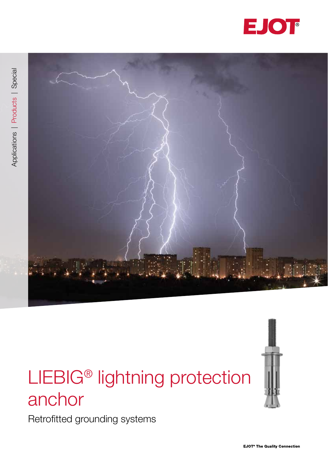



# LIEBIG® lightning protection anchor

Retrofitted grounding systems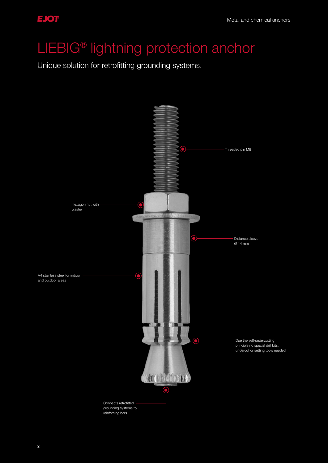## LIEBIG® lightning protection anchor

Unique solution for retrofitting grounding systems.

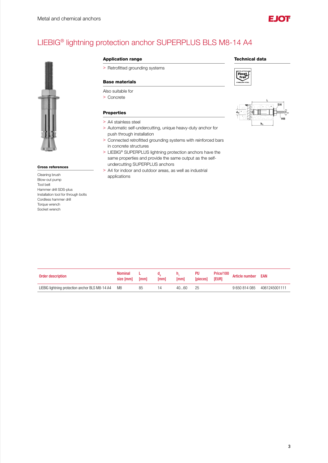

### LIEBIG® lightning protection anchor SUPERPLUS BLS M8-14 A4



#### Cross references

Cleaning brush Blow-out pump Tool belt Hammer drill SDS-plus Installation tool for through bolts Cordless hammer drill Torque wrench Socket wrench

#### Application range Technical data

> Retrofitted grounding systems

#### Base materials

#### Also suitable for

> Concrete

#### Properties

- > A4 stainless steel
- > Automatic self-undercutting, unique heavy-duty anchor for push through installation
- > Connected retrofitted grounding systems with reinforced bars in concrete structures
- > LIEBIG® SUPERPLUS lightning protection anchors have the same properties and provide the same output as the selfundercutting SUPERPLUS anchors
- > A4 for indoor and outdoor areas, as well as industrial applications





| Order description                               | <b>Nominal</b><br>size [mm] | [mm] | [mm] | [mm] | PU<br><b>I</b> piecesl | Price/100<br>[EUR] | <b>Article number</b> | <b>EAN</b>    |
|-------------------------------------------------|-----------------------------|------|------|------|------------------------|--------------------|-----------------------|---------------|
| LIEBIG lightning protection anchor BLS M8-14 A4 | M8                          | 85   | 14   | 4060 | 25                     |                    | 9 650 814 085         | 4061245001111 |